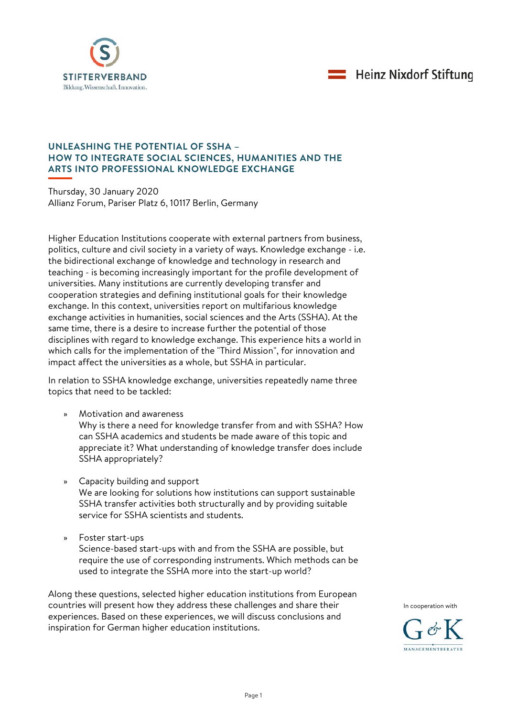



## **UNLEASHING THE POTENTIAL OF SSHA – HOW TO INTEGRATE SOCIAL SCIENCES, HUMANITIES AND THE ARTS INTO PROFESSIONAL KNOWLEDGE EXCHANGE**

Thursday, 30 January 2020 Allianz Forum, Pariser Platz 6, 10117 Berlin, Germany

Higher Education Institutions cooperate with external partners from business, politics, culture and civil society in a variety of ways. Knowledge exchange - i.e. the bidirectional exchange of knowledge and technology in research and teaching - is becoming increasingly important for the profile development of universities. Many institutions are currently developing transfer and cooperation strategies and defining institutional goals for their knowledge exchange. In this context, universities report on multifarious knowledge exchange activities in humanities, social sciences and the Arts (SSHA). At the same time, there is a desire to increase further the potential of those disciplines with regard to knowledge exchange. This experience hits a world in which calls for the implementation of the "Third Mission", for innovation and impact affect the universities as a whole, but SSHA in particular.

In relation to SSHA knowledge exchange, universities repeatedly name three topics that need to be tackled:

- » Motivation and awareness Why is there a need for knowledge transfer from and with SSHA? How can SSHA academics and students be made aware of this topic and appreciate it? What understanding of knowledge transfer does include SSHA appropriately?
- » Capacity building and support We are looking for solutions how institutions can support sustainable SSHA transfer activities both structurally and by providing suitable service for SSHA scientists and students.
- » Foster start-ups Science-based start-ups with and from the SSHA are possible, but require the use of corresponding instruments. Which methods can be used to integrate the SSHA more into the start-up world?

Along these questions, selected higher education institutions from European countries will present how they address these challenges and share their experiences. Based on these experiences, we will discuss conclusions and inspiration for German higher education institutions.



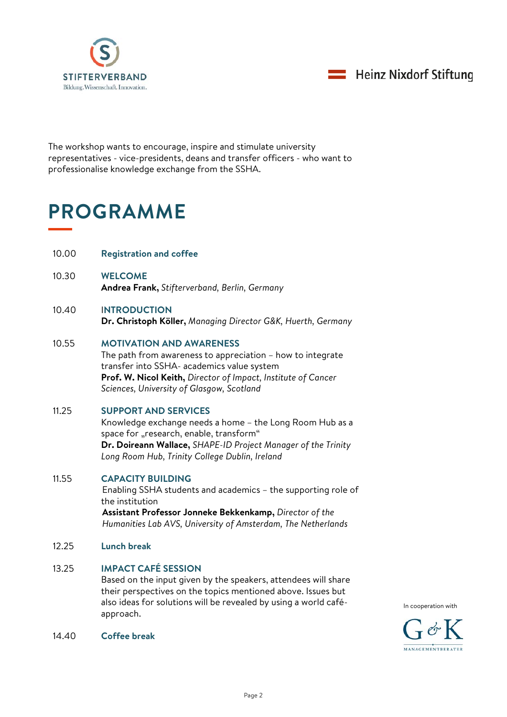



The workshop wants to encourage, inspire and stimulate university representatives - vice-presidents, deans and transfer officers - who want to professionalise knowledge exchange from the SSHA.

# **PROGRAMME**

- 10.00 **Registration and coffee**
- 10.30 **WELCOME Andrea Frank,** *Stifterverband, Berlin, Germany*

#### 10.40 I**NTRODUCTION Dr. Christoph Köller,** *Managing Director G&K, Huerth, Germany*

## 10.55 **MOTIVATION AND AWARENESS**

The path from awareness to appreciation – how to integrate transfer into SSHA- academics value system **Prof. W. Nicol Keith,** *Director of Impact, Institute of Cancer Sciences, University of Glasgow, Scotland*

# 11.25 **SUPPORT AND SERVICES**

Knowledge exchange needs a home – the Long Room Hub as a space for "research, enable, transform" **Dr. Doireann Wallace,** *SHAPE-ID Project Manager of the Trinity Long Room Hub, Trinity College Dublin, Ireland*

## 11.55 **CAPACITY BUILDING**

Enabling SSHA students and academics – the supporting role of the institution

**Assistant Professor Jonneke Bekkenkamp,** *Director of the Humanities Lab AVS, University of Amsterdam, The Netherlands*

12.25 **Lunch break**

## 13.25 **IMPACT CAFÉ SESSION**

Based on the input given by the speakers, attendees will share their perspectives on the topics mentioned above. Issues but also ideas for solutions will be revealed by using a world caféapproach.